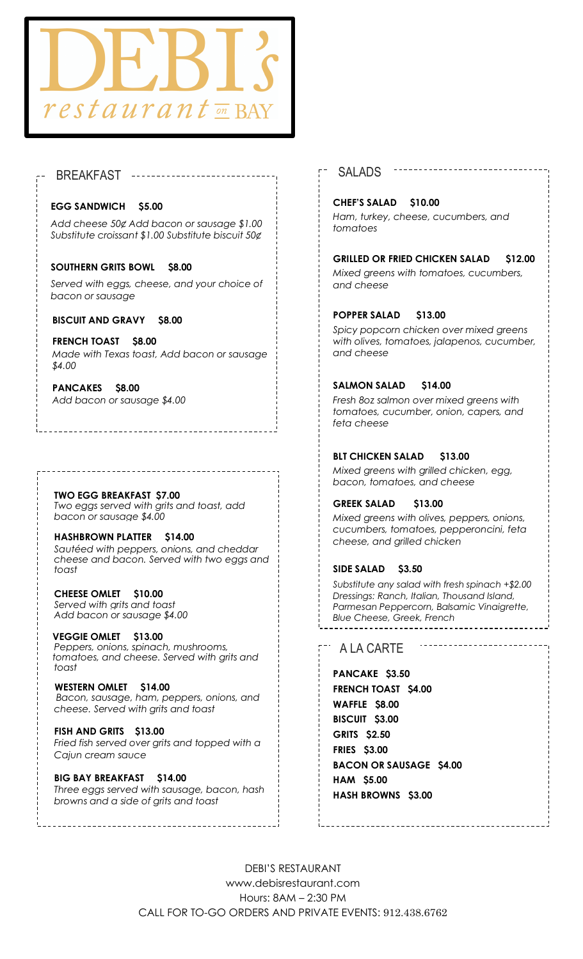

# BREAKFAST SALADS

#### **EGG SANDWICH \$5.00**

*Add cheese 50¢ Add bacon or sausage \$1.00 Substitute croissant \$1.00 Substitute biscuit 50¢*

#### **SOUTHERN GRITS BOWL \$8.00**

*Served with eggs, cheese, and your choice of bacon or sausage*

#### **BISCUIT AND GRAVY \$8.00**

**FRENCH TOAST \$8.00** *Made with Texas toast, Add bacon or sausage \$4.00*

#### **PANCAKES \$8.00** *Three buttermilk pancakes Add bacon or sausage \$4.00*

# **TWO EGG BREAKFAST \$7.00**

*Two eggs served with grits and toast, add bacon or sausage \$4.00*

#### **HASHBROWN PLATTER \$14.00** *Sautéed with peppers, onions, and cheddar cheese and bacon. Served with two eggs and toast*

**CHEESE OMLET \$10.00** *Served with grits and toast Add bacon or sausage \$4.00*

#### **VEGGIE OMLET \$13.00** *toast Peppers, onions, spinach, mushrooms, tomatoes, and cheese. Served with grits and*

 *Bacon, sausage, ham, peppers, onions, and*  **WESTERN OMLET \$14.00** *cheese. Served with grits and toast*

#### **FISH AND GRITS \$13.00** *Fried fish served over grits and topped with a Cajun cream sauce*

#### **BIG BAY BREAKFAST \$14.00** *Three eggs served with sausage, bacon, hash browns and a side of grits and toast*

### **CHEF'S SALAD \$10.00**

*Ham, turkey, cheese, cucumbers, and tomatoes* 

#### **GRILLED OR FRIED CHICKEN SALAD \$12.00** *Mixed greens with tomatoes, cucumbers,*

*and cheese*

### **POPPER SALAD \$13.00**

*Spicy popcorn chicken over mixed greens with olives, tomatoes, jalapenos, cucumber, and cheese*

### **SALMON SALAD \$14.00**

*Fresh 8oz salmon over mixed greens with tomatoes, cucumber, onion, capers, and feta cheese* 

### **BLT CHICKEN SALAD \$13.00**

*Mixed greens with grilled chicken, egg, bacon, tomatoes, and cheese*

#### **GREEK SALAD \$13.00**

*Mixed greens with olives, peppers, onions, cucumbers, tomatoes, pepperoncini, feta cheese, and grilled chicken*

#### **SIDE SALAD \$3.50**

*Substitute any salad with fresh spinach +\$2.00 Dressings: Ranch, Italian, Thousand Island, Parmesan Peppercorn, Balsamic Vinaigrette, Blue Cheese, Greek, French* 

## A LA CARTE

**PANCAKE \$3.50 FRENCH TOAST \$4.00 WAFFLE \$8.00 BISCUIT \$3.00 GRITS \$2.50 FRIES \$3.00 BACON OR SAUSAGE \$4.00 HAM \$5.00 HASH BROWNS \$3.00** 

DEBI'S RESTAURANT www.debisrestaurant.com Hours: 8AM – 2:30 PM CALL FOR TO-GO ORDERS AND PRIVATE EVENTS: 912.438.6762